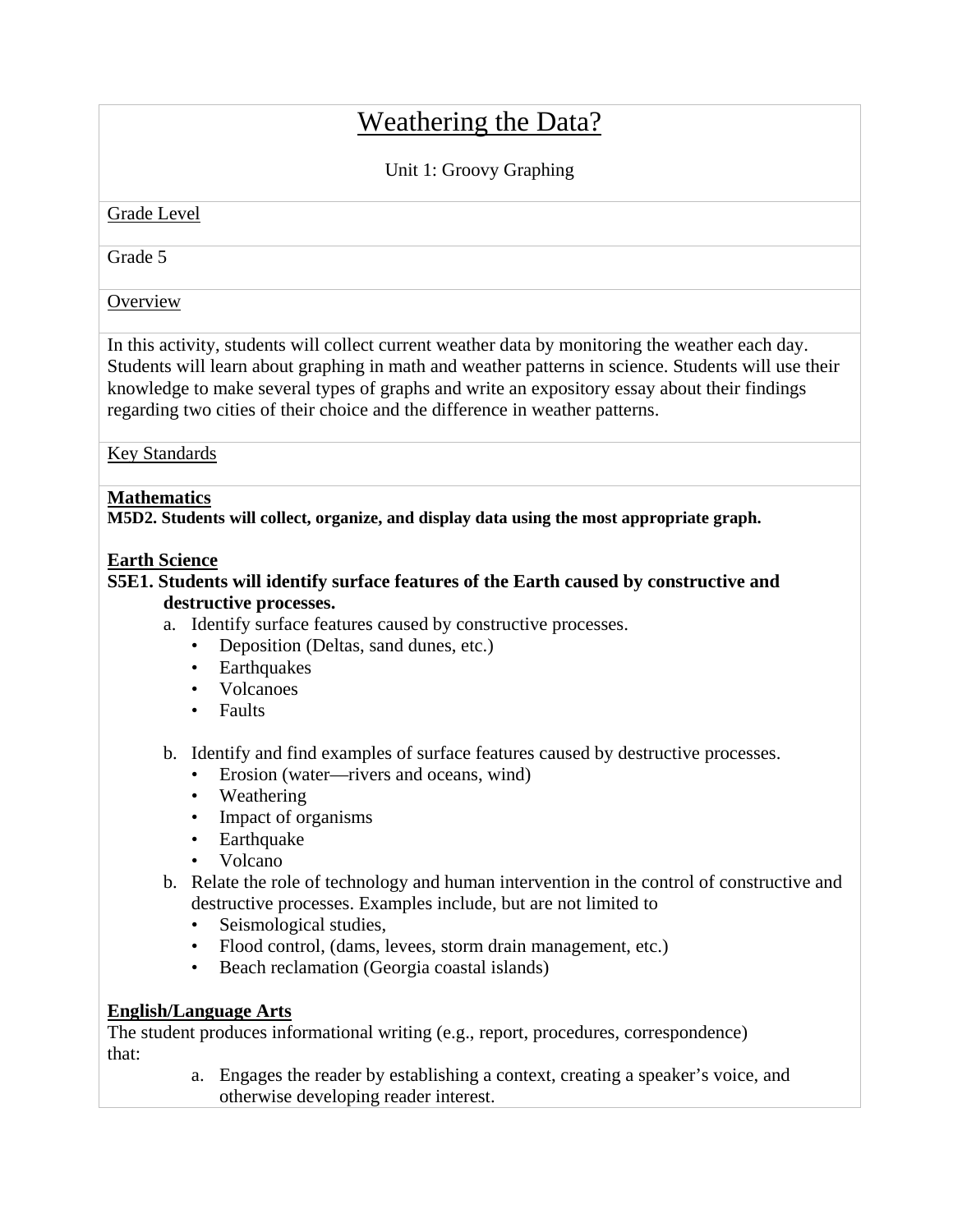# Weathering the Data?

## Unit 1: Groovy Graphing

#### Grade Level

Grade 5

**Overview** 

In this activity, students will collect current weather data by monitoring the weather each day. Students will learn about graphing in math and weather patterns in science. Students will use their knowledge to make several types of graphs and write an expository essay about their findings regarding two cities of their choice and the difference in weather patterns.

Key Standards

## **Mathematics**

**M5D2. Students will collect, organize, and display data using the most appropriate graph.** 

### **Earth Science**

## **S5E1. Students will identify surface features of the Earth caused by constructive and destructive processes.**

- a. Identify surface features caused by constructive processes.
	- Deposition (Deltas, sand dunes, etc.)
	- Earthquakes
	- Volcanoes
	- Faults
- b. Identify and find examples of surface features caused by destructive processes.
	- Erosion (water—rivers and oceans, wind)
	- Weathering
	- Impact of organisms
	- Earthquake
	- Volcano
- b. Relate the role of technology and human intervention in the control of constructive and destructive processes. Examples include, but are not limited to
	- Seismological studies,
	- Flood control, (dams, levees, storm drain management, etc.)
	- Beach reclamation (Georgia coastal islands)

## **English/Language Arts**

The student produces informational writing (e.g., report, procedures, correspondence) that:

> a. Engages the reader by establishing a context, creating a speaker's voice, and otherwise developing reader interest.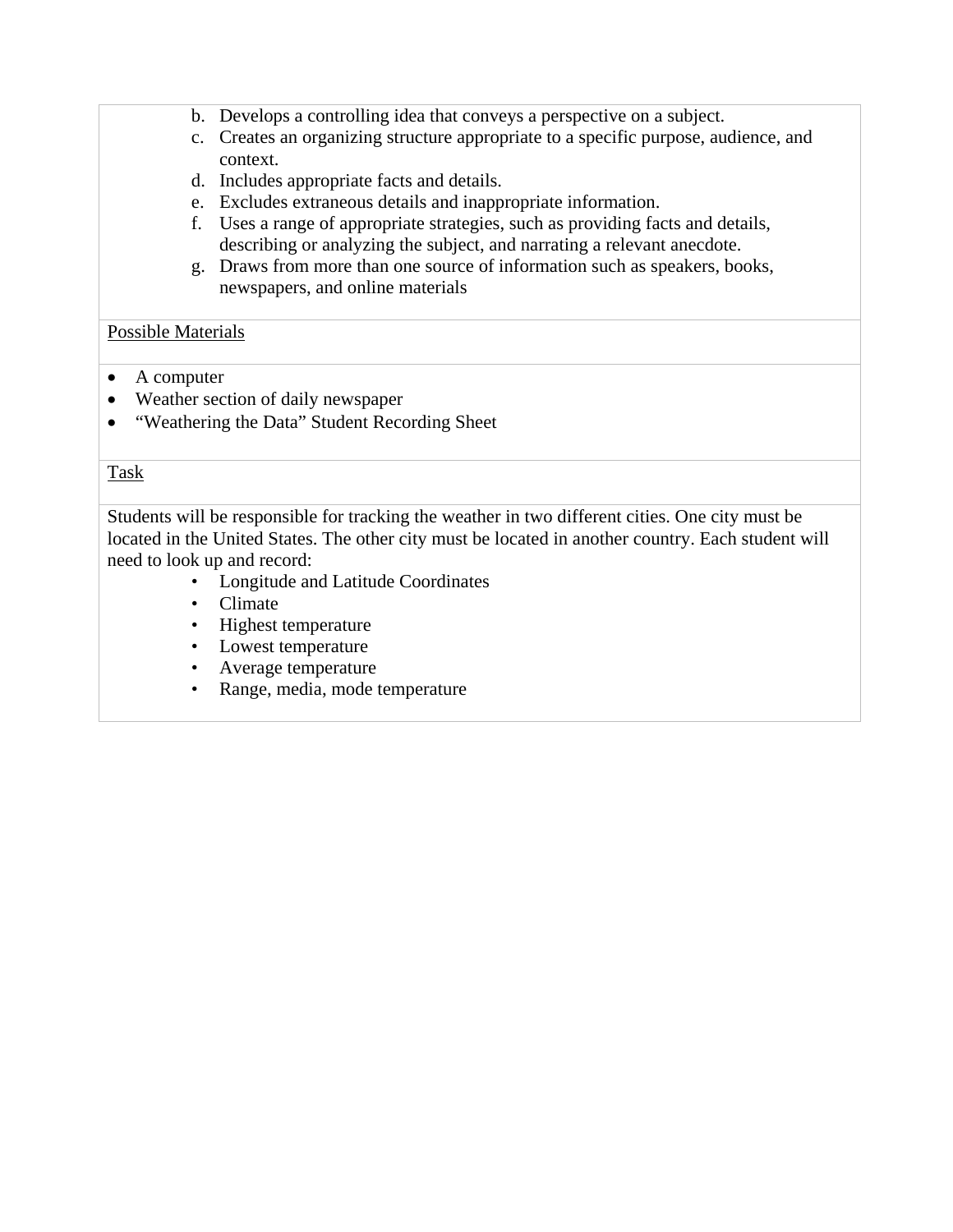- b. Develops a controlling idea that conveys a perspective on a subject.
- c. Creates an organizing structure appropriate to a specific purpose, audience, and context.
- d. Includes appropriate facts and details.
- e. Excludes extraneous details and inappropriate information.
- f. Uses a range of appropriate strategies, such as providing facts and details, describing or analyzing the subject, and narrating a relevant anecdote.
- g. Draws from more than one source of information such as speakers, books, newspapers, and online materials

#### Possible Materials

- A computer
- Weather section of daily newspaper
- "Weathering the Data" Student Recording Sheet

#### Task

Students will be responsible for tracking the weather in two different cities. One city must be located in the United States. The other city must be located in another country. Each student will need to look up and record:

- Longitude and Latitude Coordinates
- Climate
- Highest temperature
- Lowest temperature
- Average temperature
- Range, media, mode temperature